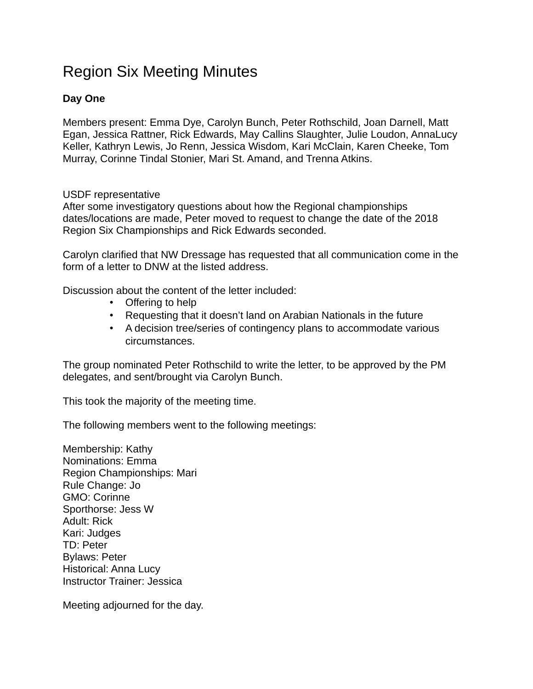## Region Six Meeting Minutes

## **Day One**

Members present: Emma Dye, Carolyn Bunch, Peter Rothschild, Joan Darnell, Matt Egan, Jessica Rattner, Rick Edwards, May Callins Slaughter, Julie Loudon, AnnaLucy Keller, Kathryn Lewis, Jo Renn, Jessica Wisdom, Kari McClain, Karen Cheeke, Tom Murray, Corinne Tindal Stonier, Mari St. Amand, and Trenna Atkins.

## USDF representative

After some investigatory questions about how the Regional championships dates/locations are made, Peter moved to request to change the date of the 2018 Region Six Championships and Rick Edwards seconded.

Carolyn clarified that NW Dressage has requested that all communication come in the form of a letter to DNW at the listed address.

Discussion about the content of the letter included:

- Offering to help
- Requesting that it doesn't land on Arabian Nationals in the future
- A decision tree/series of contingency plans to accommodate various circumstances.

The group nominated Peter Rothschild to write the letter, to be approved by the PM delegates, and sent/brought via Carolyn Bunch.

This took the majority of the meeting time.

The following members went to the following meetings:

Membership: Kathy Nominations: Emma Region Championships: Mari Rule Change: Jo GMO: Corinne Sporthorse: Jess W Adult: Rick Kari: Judges TD: Peter Bylaws: Peter Historical: Anna Lucy Instructor Trainer: Jessica

Meeting adjourned for the day.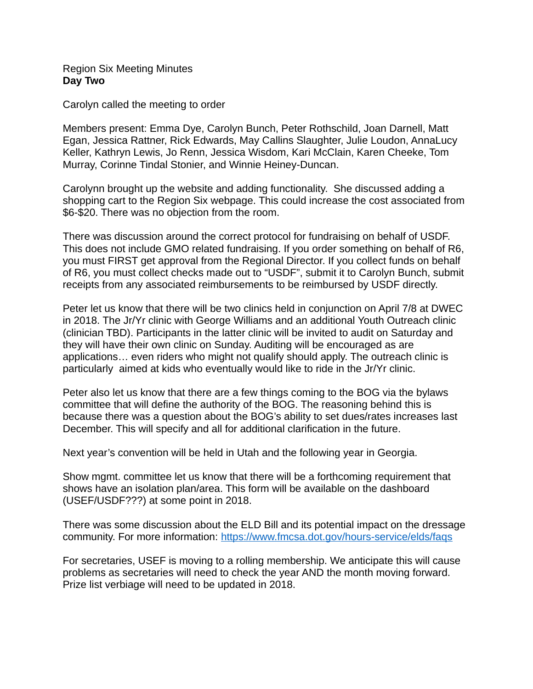Region Six Meeting Minutes **Day Two**

Carolyn called the meeting to order

Members present: Emma Dye, Carolyn Bunch, Peter Rothschild, Joan Darnell, Matt Egan, Jessica Rattner, Rick Edwards, May Callins Slaughter, Julie Loudon, AnnaLucy Keller, Kathryn Lewis, Jo Renn, Jessica Wisdom, Kari McClain, Karen Cheeke, Tom Murray, Corinne Tindal Stonier, and Winnie Heiney-Duncan.

Carolynn brought up the website and adding functionality. She discussed adding a shopping cart to the Region Six webpage. This could increase the cost associated from \$6-\$20. There was no objection from the room.

There was discussion around the correct protocol for fundraising on behalf of USDF. This does not include GMO related fundraising. If you order something on behalf of R6, you must FIRST get approval from the Regional Director. If you collect funds on behalf of R6, you must collect checks made out to "USDF", submit it to Carolyn Bunch, submit receipts from any associated reimbursements to be reimbursed by USDF directly.

Peter let us know that there will be two clinics held in conjunction on April 7/8 at DWEC in 2018. The Jr/Yr clinic with George Williams and an additional Youth Outreach clinic (clinician TBD). Participants in the latter clinic will be invited to audit on Saturday and they will have their own clinic on Sunday. Auditing will be encouraged as are applications… even riders who might not qualify should apply. The outreach clinic is particularly aimed at kids who eventually would like to ride in the Jr/Yr clinic.

Peter also let us know that there are a few things coming to the BOG via the bylaws committee that will define the authority of the BOG. The reasoning behind this is because there was a question about the BOG's ability to set dues/rates increases last December. This will specify and all for additional clarification in the future.

Next year's convention will be held in Utah and the following year in Georgia.

Show mgmt. committee let us know that there will be a forthcoming requirement that shows have an isolation plan/area. This form will be available on the dashboard (USEF/USDF???) at some point in 2018.

There was some discussion about the ELD Bill and its potential impact on the dressage community. For more information:<https://www.fmcsa.dot.gov/hours-service/elds/faqs>

For secretaries, USEF is moving to a rolling membership. We anticipate this will cause problems as secretaries will need to check the year AND the month moving forward. Prize list verbiage will need to be updated in 2018.